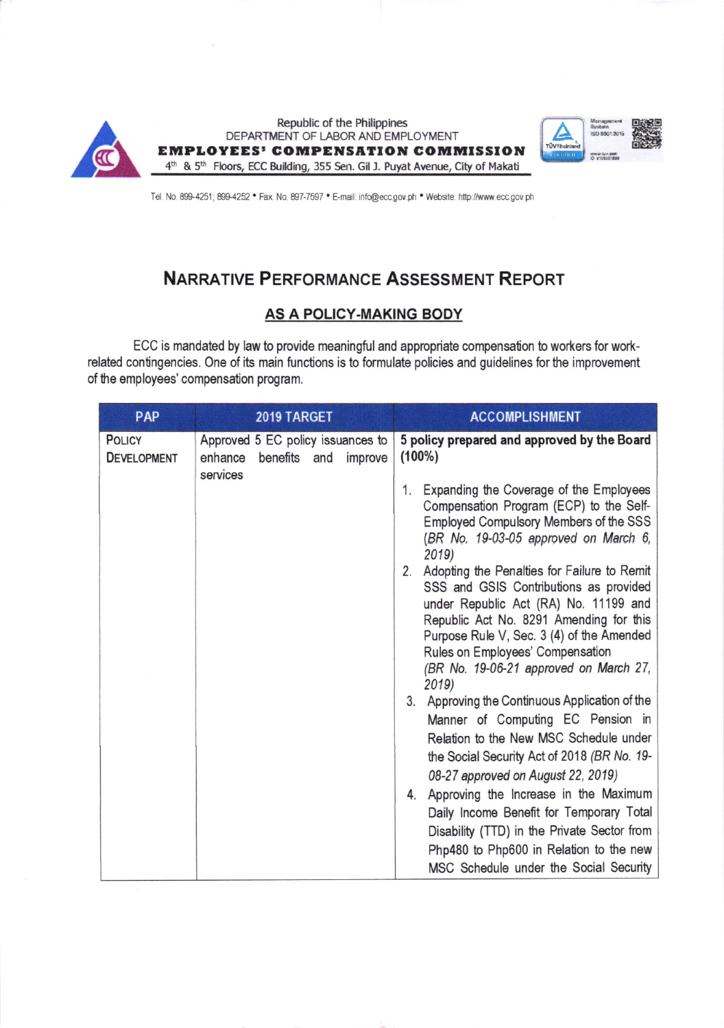

Tel. No. 899-4251; 899-4252 • Fax. No. 897-7597 • E-mail: info@ecc.gov.ph • Website: http://www.ecc.gov.ph

# **NARRATIVE PERFORMANCE ASSESSMENT REPORT**

### **AS A POLICY-MAKING BODY**

ECC is mandated by law to provide meaningful and appropriate compensation to workers for workrelated contingencies. One of its main functions is to formulate policies and guidelines for the improvement of the employees' compensation program.

| PAP                                 | 2019 TARGET                                                                            | <b>ACCOMPLISHMENT</b>                                                                                                                                                                                                                                                                                                                                                                                                                                                                                                                                                                                                                                          |
|-------------------------------------|----------------------------------------------------------------------------------------|----------------------------------------------------------------------------------------------------------------------------------------------------------------------------------------------------------------------------------------------------------------------------------------------------------------------------------------------------------------------------------------------------------------------------------------------------------------------------------------------------------------------------------------------------------------------------------------------------------------------------------------------------------------|
| <b>POLICY</b><br><b>DEVELOPMENT</b> | Approved 5 EC policy issuances to<br>enhance<br>benefits<br>improve<br>and<br>services | 5 policy prepared and approved by the Board<br>$(100\%)$<br>Expanding the Coverage of the Employees<br>1.<br>Compensation Program (ECP) to the Self-<br>Employed Compulsory Members of the SSS<br>(BR No. 19-03-05 approved on March 6,<br>2019)<br>2. Adopting the Penalties for Failure to Remit<br>SSS and GSIS Contributions as provided<br>under Republic Act (RA) No. 11199 and<br>Republic Act No. 8291 Amending for this<br>Purpose Rule V, Sec. 3 (4) of the Amended<br>Rules on Employees' Compensation<br>(BR No. 19-06-21 approved on March 27,<br>2019)<br>Approving the Continuous Application of the<br>3.<br>Manner of Computing EC Pension in |
|                                     |                                                                                        | Relation to the New MSC Schedule under<br>the Social Security Act of 2018 (BR No. 19-<br>08-27 approved on August 22, 2019)                                                                                                                                                                                                                                                                                                                                                                                                                                                                                                                                    |
|                                     |                                                                                        | 4. Approving the Increase in the Maximum<br>Daily Income Benefit for Temporary Total<br>Disability (TTD) in the Private Sector from<br>Php480 to Php600 in Relation to the new<br>MSC Schedule under the Social Security                                                                                                                                                                                                                                                                                                                                                                                                                                       |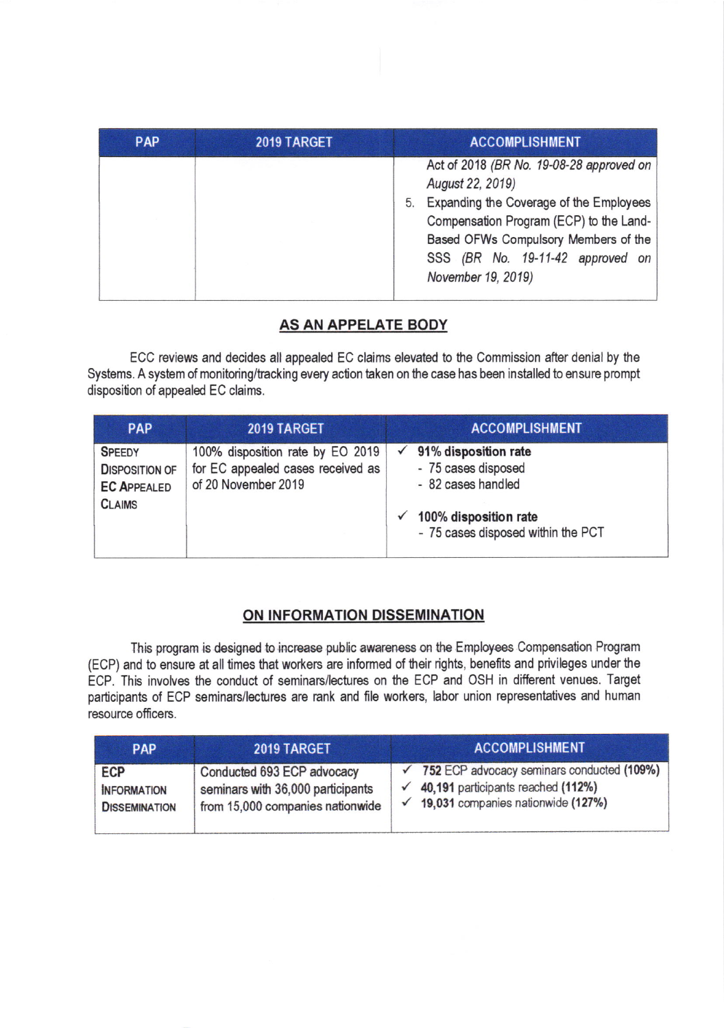| <b>PAP</b> | 2019 TARGET | <b>ACCOMPLISHMENT</b>                                                                                                                                                                                                                                      |
|------------|-------------|------------------------------------------------------------------------------------------------------------------------------------------------------------------------------------------------------------------------------------------------------------|
|            |             | Act of 2018 (BR No. 19-08-28 approved on<br>August 22, 2019)<br>Expanding the Coverage of the Employees<br>5.<br>Compensation Program (ECP) to the Land-<br>Based OFWs Compulsory Members of the<br>SSS (BR No. 19-11-42 approved on<br>November 19, 2019) |

# AS AN APPELATE BODY

ECC reviews and decides all appealed EC claims elevated to he Commission after denial by the Systems. A system of monitoring/tracking every action taken on the case has been installed to ensure prompt disposition of appealed EC claims.

| <b>PAP</b>                                                                    | 2019 TARGET                                                                                  | <b>ACCOMPLISHMENT</b>                                                                                                                         |
|-------------------------------------------------------------------------------|----------------------------------------------------------------------------------------------|-----------------------------------------------------------------------------------------------------------------------------------------------|
| <b>SPEEDY</b><br><b>DISPOSITION OF</b><br><b>EC APPEALED</b><br><b>CLAIMS</b> | 100% disposition rate by EO 2019<br>for EC appealed cases received as<br>of 20 November 2019 | $\checkmark$ 91% disposition rate<br>- 75 cases disposed<br>- 82 cases handled<br>100% disposition rate<br>- 75 cases disposed within the PCT |

## ON INFORMATION DISSEMINATION

This program is designed to increase public awareness on the Employees Compensation Program (ECP) and to ensure at all times that workers are informed of their rights, benefits and privileges under the ECP, This involves the conduct of seminars/lectures on the ECP and OSH in different venues. Target participants of ECP seminars/lectures are rank and file workers, labor union representatives and human resource officers.

| <b>PAP</b>           | 2019 TARGET                       | <b>ACCOMPLISHMENT</b>                      |
|----------------------|-----------------------------------|--------------------------------------------|
| <b>ECP</b>           | Conducted 693 ECP advocacy        | 752 ECP advocacy seminars conducted (109%) |
| <b>INFORMATION</b>   | seminars with 36,000 participants | 40,191 participants reached (112%)         |
| <b>DISSEMINATION</b> | from 15,000 companies nationwide  | 19,031 companies nationwide (127%)         |